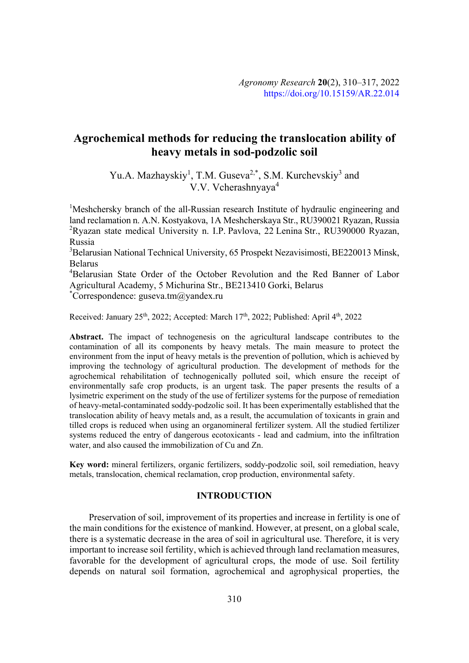# **Agrochemical methods for reducing the translocation ability of heavy metals in sod-podzolic soil**

Yu.A. Mazhayskiy<sup>1</sup>, T.M. Guseva<sup>2,\*</sup>, S.M. Kurchevskiy<sup>3</sup> and V.V. Vcherashnyaya<sup>4</sup>

<sup>1</sup>Meshchersky branch of the all-Russian research Institute of hydraulic engineering and land reclamation n. A.N. Kostyakova, 1A Meshcherskaya Str., RU390021 Ryazan, Russia <sup>2</sup>Ryazan state medical University n. I.P. Pavlova, 22 Lenina Str., RU390000 Ryazan, Russia

<sup>3</sup>Belarusian National Technical University, 65 Prospekt Nezavisimosti, BE220013 Minsk, Belarus

4 Belarusian State Order of the October Revolution and the Red Banner of Labor Agricultural Academy, 5 Michurina Str., BE213410 Gorki, Belarus

\* Correspondence: guseva.tm@yandex.ru

Received: January 25<sup>th</sup>, 2022; Accepted: March 17<sup>th</sup>, 2022; Published: April 4<sup>th</sup>, 2022

**Abstract.** The impact of technogenesis on the agricultural landscape contributes to the contamination of all its components by heavy metals. The main measure to protect the environment from the input of heavy metals is the prevention of pollution, which is achieved by improving the technology of agricultural production. The development of methods for the agrochemical rehabilitation of technogenically polluted soil, which ensure the receipt of environmentally safe crop products, is an urgent task. The paper presents the results of a lysimetric experiment on the study of the use of fertilizer systems for the purpose of remediation of heavy-metal-contaminated soddy-podzolic soil. It has been experimentally established that the translocation ability of heavy metals and, as a result, the accumulation of toxicants in grain and tilled crops is reduced when using an organomineral fertilizer system. All the studied fertilizer systems reduced the entry of dangerous ecotoxicants - lead and cadmium, into the infiltration water, and also caused the immobilization of Cu and Zn.

**Key word:** mineral fertilizers, organic fertilizers, soddy-podzolic soil, soil remediation, heavy metals, translocation, chemical reclamation, crop production, environmental safety.

## **INTRODUCTION**

Preservation of soil, improvement of its properties and increase in fertility is one of the main conditions for the existence of mankind. However, at present, on a global scale, there is a systematic decrease in the area of soil in agricultural use. Therefore, it is very important to increase soil fertility, which is achieved through land reclamation measures, favorable for the development of agricultural crops, the mode of use. Soil fertility depends on natural soil formation, agrochemical and agrophysical properties, the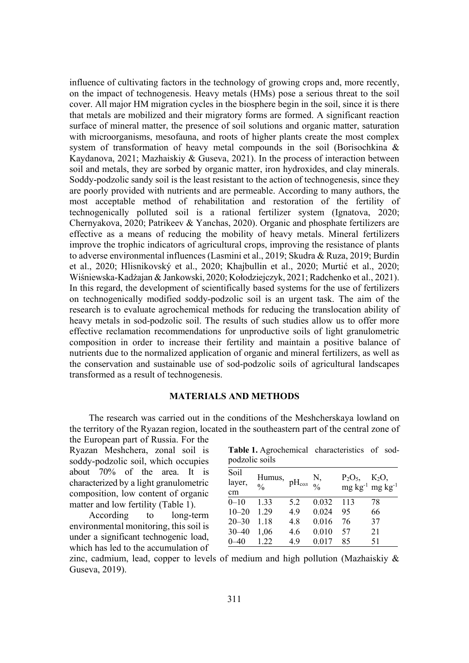influence of cultivating factors in the technology of growing crops and, more recently, on the impact of technogenesis. Heavy metals (HMs) pose a serious threat to the soil cover. All major HM migration cycles in the biosphere begin in the soil, since it is there that metals are mobilized and their migratory forms are formed. A significant reaction surface of mineral matter, the presence of soil solutions and organic matter, saturation with microorganisms, mesofauna, and roots of higher plants create the most complex system of transformation of heavy metal compounds in the soil (Borisochkina & Kaydanova, 2021; Mazhaiskiy & Guseva, 2021). In the process of interaction between soil and metals, they are sorbed by organic matter, iron hydroxides, and clay minerals. Soddy-podzolic sandy soil is the least resistant to the action of technogenesis, since they are poorly provided with nutrients and are permeable. According to many authors, the most acceptable method of rehabilitation and restoration of the fertility of technogenically polluted soil is a rational fertilizer system (Ignatova, 2020; Chernyakova, 2020; Patrikeev & Yanchas, 2020). Organic and phosphate fertilizers are effective as a means of reducing the mobility of heavy metals. Mineral fertilizers improve the trophic indicators of agricultural crops, improving the resistance of plants to adverse environmental influences (Lasmini et al., 2019; Skudra & Ruza, 2019; Burdin et al., 2020; Hlisnikovský et al., 2020; Khajbullin et al., 2020; Murtić et al., 2020; Wiśniewska-Kadżajan & Jankowski, 2020; Kołodziejczyk, 2021; Radchenko et al., 2021). In this regard, the development of scientifically based systems for the use of fertilizers on technogenically modified soddy-podzolic soil is an urgent task. The aim of the research is to evaluate agrochemical methods for reducing the translocation ability of heavy metals in sod-podzolic soil. The results of such studies allow us to offer more effective reclamation recommendations for unproductive soils of light granulometric composition in order to increase their fertility and maintain a positive balance of nutrients due to the normalized application of organic and mineral fertilizers, as well as the conservation and sustainable use of sod-podzolic soils of agricultural landscapes transformed as a result of technogenesis.

### **MATERIALS AND METHODS**

The research was carried out in the conditions of the Meshcherskaya lowland on the territory of the Ryazan region, located in the southeastern part of the central zone of

the European part of Russia. For the Ryazan Meshchera, zonal soil is soddy-podzolic soil, which occupies about 70% of the area. It is characterized by a light granulometric composition, low content of organic matter and low fertility (Table 1).

According to long-term environmental monitoring, this soil is under a significant technogenic load, which has led to the accumulation of

| Table 1. Agrochemical characteristics of sod- |  |  |
|-----------------------------------------------|--|--|
| podzolic soils                                |  |  |

| Soil<br>layer,<br>cm | Humus,<br>$\frac{0}{0}$ | $\rm pH_{\rm con}$ $\frac{1}{\sqrt{2}}$ | N,    | $P_2O_5$ | $K_2O$ ,<br>$mg \, kg^{-1}$ mg $kg^{-1}$ |
|----------------------|-------------------------|-----------------------------------------|-------|----------|------------------------------------------|
| $0 - 10$             | 1.33                    | 5.2                                     | 0.032 | 113      | 78                                       |
| $10 - 20$            | 1.29                    | 4.9                                     | 0.024 | 95       | 66                                       |
| $20 - 30$            | 1.18                    | 4.8                                     | 0.016 | 76       | 37                                       |
| $30 - 40$            | 1,06                    | 4.6                                     | 0.010 | 57       | 21                                       |
| $0 - 40$             | 1.22                    | 4.9                                     | 0.017 | 85       | 51                                       |
|                      |                         |                                         |       |          |                                          |

zinc, cadmium, lead, copper to levels of medium and high pollution (Mazhaiskiy  $\&$ Guseva, 2019).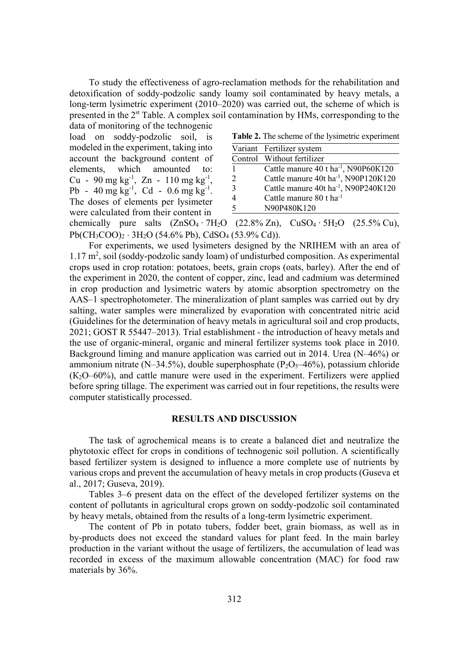To study the effectiveness of agro-reclamation methods for the rehabilitation and detoxification of soddy-podzolic sandy loamy soil contaminated by heavy metals, a long-term lysimetric experiment (2010–2020) was carried out, the scheme of which is presented in the 2<sup>st</sup> Table. A complex soil contamination by HMs, corresponding to the

data of monitoring of the technogenic load on soddy-podzolic soil, is modeled in the experiment, taking into account the background content of elements, which amounted to: Cu - 90 mg  $kg^{-1}$ , Zn - 110 mg  $kg^{-1}$ , Pb -  $40 \text{ mg kg}^{-1}$ , Cd -  $0.6 \text{ mg kg}^{-1}$ . The doses of elements per lysimeter were calculated from their content in

**Table 2.** The scheme of the lysimetric experiment

|                          | Variant Fertilizer system                        |
|--------------------------|--------------------------------------------------|
|                          | Control Without fertilizer                       |
| 1                        | Cattle manure 40 t ha <sup>-1</sup> , N90P60K120 |
| 2                        | Cattle manure 40t ha <sup>-1</sup> , N90P120K120 |
| $\mathcal{R}$            | Cattle manure 40t ha <sup>-1</sup> , N90P240K120 |
|                          | Cattle manure 80 t ha <sup>-1</sup>              |
| $\overline{\mathcal{L}}$ | N90P480K120                                      |

chemically pure salts  $(ZnSO_4 \cdot 7H_2O \t (22.8\% Zn)$ ,  $CuSO_4 \cdot 5H_2O \t (25.5\% Cu)$ ,  $Pb(CH_3COO)_2 \cdot 3H_2O$  (54.6% Pb), CdSO<sub>4</sub> (53.9% Cd)).

For experiments, we used lysimeters designed by the NRIHEM with an area of 1.17 m<sup>2</sup>, soil (soddy-podzolic sandy loam) of undisturbed composition. As experimental crops used in crop rotation: potatoes, beets, grain crops (oats, barley). After the end of the experiment in 2020, the content of copper, zinc, lead and cadmium was determined in crop production and lysimetric waters by atomic absorption spectrometry on the AAS–1 spectrophotometer. The mineralization of plant samples was carried out by dry salting, water samples were mineralized by evaporation with concentrated nitric acid (Guidelines for the determination of heavy metals in agricultural soil and crop products, 2021; GOST R 55447–2013). Trial establishment - the introduction of heavy metals and the use of organic-mineral, organic and mineral fertilizer systems took place in 2010. Background liming and manure application was carried out in 2014. Urea (N–46%) or ammonium nitrate ( $N-34.5\%$ ), double superphosphate ( $P_2O_5-46\%$ ), potassium chloride  $(K<sub>2</sub>O-60%)$ , and cattle manure were used in the experiment. Fertilizers were applied before spring tillage. The experiment was carried out in four repetitions, the results were computer statistically processed.

## **RESULTS AND DISCUSSION**

The task of agrochemical means is to create a balanced diet and neutralize the phytotoxic effect for crops in conditions of technogenic soil pollution. A scientifically based fertilizer system is designed to influence a more complete use of nutrients by various crops and prevent the accumulation of heavy metals in crop products (Guseva et al., 2017; Guseva, 2019).

Tables 3–6 present data on the effect of the developed fertilizer systems on the content of pollutants in agricultural crops grown on soddy-podzolic soil contaminated by heavy metals, obtained from the results of a long-term lysimetric experiment.

The content of Pb in potato tubers, fodder beet, grain biomass, as well as in by-products does not exceed the standard values for plant feed. In the main barley production in the variant without the usage of fertilizers, the accumulation of lead was recorded in excess of the maximum allowable concentration (MAC) for food raw materials by 36%.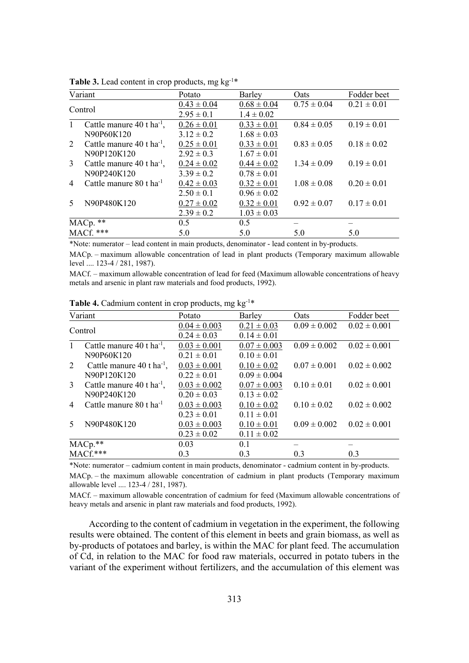| Variant      |                                         | Potato          | Barley          | <b>Oats</b>     | Fodder beet     |
|--------------|-----------------------------------------|-----------------|-----------------|-----------------|-----------------|
| Control      |                                         | $0.43 \pm 0.04$ | $0.68 \pm 0.04$ | $0.75 \pm 0.04$ | $0.21 \pm 0.01$ |
|              |                                         | $2.95 \pm 0.1$  | $1.4 \pm 0.02$  |                 |                 |
| $\mathbf{1}$ | Cattle manure $40$ t ha <sup>-1</sup> , | $0.26 \pm 0.01$ | $0.33 \pm 0.01$ | $0.84 \pm 0.05$ | $0.19 \pm 0.01$ |
|              | N90P60K120                              | $3.12 \pm 0.2$  | $1.68 \pm 0.03$ |                 |                 |
| 2            | Cattle manure $40$ t ha <sup>-1</sup> , | $0.25 \pm 0.01$ | $0.33 \pm 0.01$ | $0.83 \pm 0.05$ | $0.18 \pm 0.02$ |
|              | N90P120K120                             | $2.92 \pm 0.3$  | $1.67 \pm 0.01$ |                 |                 |
| 3            | Cattle manure 40 t ha <sup>-1</sup> ,   | $0.24 \pm 0.02$ | $0.44 \pm 0.02$ | $1.34 \pm 0.09$ | $0.19 \pm 0.01$ |
|              | N90P240K120                             | $3.39 \pm 0.2$  | $0.78 \pm 0.01$ |                 |                 |
| 4            | Cattle manure $80$ t ha <sup>-1</sup>   | $0.42 \pm 0.03$ | $0.32 \pm 0.01$ | $1.08 \pm 0.08$ | $0.20 \pm 0.01$ |
|              |                                         | $2.50 \pm 0.1$  | $0.96 \pm 0.02$ |                 |                 |
| 5            | N90P480K120                             | $0.27 \pm 0.02$ | $0.32 \pm 0.01$ | $0.92 \pm 0.07$ | $0.17 \pm 0.01$ |
|              |                                         | $2.39 \pm 0.2$  | $1.03 \pm 0.03$ |                 |                 |
|              | MACp. **                                | 0.5             | 0.5             |                 |                 |
| MACf. ***    |                                         | 5.0             | 5.0             | 5.0             | 5.0             |

Table 3. Lead content in crop products, mg kg<sup>-1\*</sup>

\*Note: numerator – lead content in main products, denominator - lead content in by-products.

MACp. – maximum allowable concentration of lead in plant products (Temporary maximum allowable level .... 123-4 / 281, 1987).

MACf. – maximum allowable concentration of lead for feed (Maximum allowable concentrations of heavy metals and arsenic in plant raw materials and food products, 1992).

| Variant             |                                         | Potato           | Barley           | Oats             | Fodder beet      |
|---------------------|-----------------------------------------|------------------|------------------|------------------|------------------|
| Control             |                                         | $0.04 \pm 0.003$ | $0.21 \pm 0.03$  | $0.09 \pm 0.002$ | $0.02 \pm 0.001$ |
|                     |                                         | $0.24 \pm 0.03$  | $0.14 \pm 0.01$  |                  |                  |
| $\mathbf{1}$        | Cattle manure $40$ t ha <sup>-1</sup> , | $0.03 \pm 0.001$ | $0.07 \pm 0.003$ | $0.09 \pm 0.002$ | $0.02 \pm 0.001$ |
|                     | N90P60K120                              | $0.21 \pm 0.01$  | $0.10 \pm 0.01$  |                  |                  |
| 2                   | Cattle manure $40$ t ha <sup>-1</sup> , | $0.03 \pm 0.001$ | $0.10 \pm 0.02$  | $0.07 \pm 0.001$ | $0.02 \pm 0.002$ |
|                     | N90P120K120                             | $0.22 \pm 0.01$  | $0.09 \pm 0.004$ |                  |                  |
| 3                   | Cattle manure 40 t ha <sup>-1</sup> ,   | $0.03 \pm 0.002$ | $0.07 \pm 0.003$ | $0.10 \pm 0.01$  | $0.02 \pm 0.001$ |
|                     | N90P240K120                             | $0.20 \pm 0.03$  | $0.13 \pm 0.02$  |                  |                  |
| $\overline{4}$      | Cattle manure 80 t ha <sup>-1</sup>     | $0.03 \pm 0.003$ | $0.10 \pm 0.02$  | $0.10 \pm 0.02$  | $0.02 \pm 0.002$ |
|                     |                                         | $0.23 \pm 0.01$  | $0.11 \pm 0.01$  |                  |                  |
| 5                   | N90P480K120                             | $0.03 \pm 0.003$ | $0.10 \pm 0.01$  | $0.09 \pm 0.002$ | $0.02 \pm 0.001$ |
|                     |                                         | $0.23 \pm 0.02$  | $0.11 \pm 0.02$  |                  |                  |
|                     |                                         | 0.03             | 0.1              |                  |                  |
| MACp.**<br>MACf.*** |                                         | 0.3              | 0.3              | 0.3              | 0.3              |

Table 4. Cadmium content in crop products, mg kg<sup>-1\*</sup>

\*Note: numerator – cadmium content in main products, denominator - cadmium content in by-products. MACp. – the maximum allowable concentration of cadmium in plant products (Temporary maximum allowable level .... 123-4 / 281, 1987).

MACf. – maximum allowable concentration of cadmium for feed (Maximum allowable concentrations of heavy metals and arsenic in plant raw materials and food products, 1992).

According to the content of cadmium in vegetation in the experiment, the following results were obtained. The content of this element in beets and grain biomass, as well as by-products of potatoes and barley, is within the MAC for plant feed. The accumulation of Cd, in relation to the MAC for food raw materials, occurred in potato tubers in the variant of the experiment without fertilizers, and the accumulation of this element was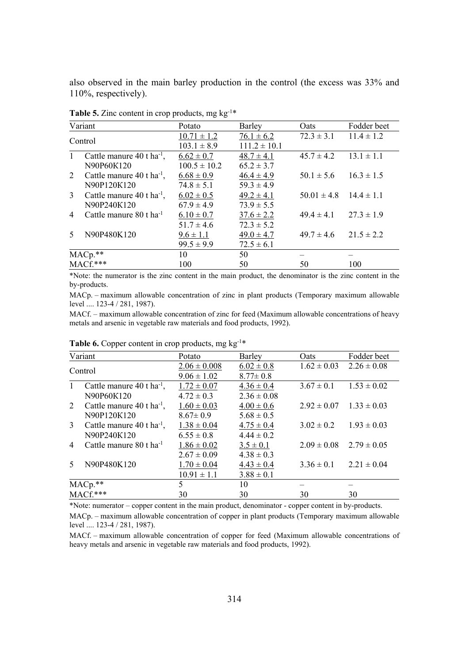also observed in the main barley production in the control (the excess was 33% and 110%, respectively).

|                     | Variant                                 | Potato           | Barley           | Oats                           | Fodder beet    |
|---------------------|-----------------------------------------|------------------|------------------|--------------------------------|----------------|
| Control             |                                         | $10.71 \pm 1.2$  | $76.1 \pm 6.2$   | $72.3 \pm 3.1$                 | $11.4 \pm 1.2$ |
|                     |                                         | $103.1 \pm 8.9$  | $111.2 \pm 10.1$ |                                |                |
| $\mathbf{1}$        | Cattle manure $40$ t ha <sup>-1</sup> , | $6.62 \pm 0.7$   | $48.7 \pm 4.1$   | $45.7 \pm 4.2$ $13.1 \pm 1.1$  |                |
|                     | N90P60K120                              | $100.5 \pm 10.2$ | $65.2 \pm 3.7$   |                                |                |
| 2                   | Cattle manure $40$ t ha <sup>-1</sup> , | $6.68 \pm 0.9$   | $46.4 \pm 4.9$   | $50.1 \pm 5.6$ $16.3 \pm 1.5$  |                |
|                     | N90P120K120                             | $74.8 \pm 5.1$   | $59.3 \pm 4.9$   |                                |                |
| 3                   | Cattle manure $40$ t ha <sup>-1</sup> , | $6.02 \pm 0.5$   | $49.2 \pm 4.1$   | $50.01 \pm 4.8$ $14.4 \pm 1.1$ |                |
|                     | N90P240K120                             | $67.9 \pm 4.9$   | $73.9 \pm 5.5$   |                                |                |
| $\overline{4}$      | Cattle manure 80 t ha <sup>-1</sup>     | $6.10 \pm 0.7$   | $37.6 \pm 2.2$   | $49.4 \pm 4.1$ $27.3 \pm 1.9$  |                |
|                     |                                         | $51.7 \pm 4.6$   | $72.3 \pm 5.2$   |                                |                |
| 5                   | N90P480K120                             | $9.6 \pm 1.1$    | $49.0 \pm 4.7$   | $49.7 \pm 4.6$ $21.5 \pm 2.2$  |                |
|                     |                                         | $99.5 \pm 9.9$   | $72.5 \pm 6.1$   |                                |                |
|                     |                                         | 10               | 50               |                                |                |
| MACp.**<br>MACf.*** |                                         | 100              | 50               | 50                             | 100            |

**Table 5.** Zinc content in crop products, mg  $kg^{-1*}$ 

\*Note: the numerator is the zinc content in the main product, the denominator is the zinc content in the by-products.

MACp. – maximum allowable concentration of zinc in plant products (Temporary maximum allowable level .... 123-4 / 281, 1987).

MACf. – maximum allowable concentration of zinc for feed (Maximum allowable concentrations of heavy metals and arsenic in vegetable raw materials and food products, 1992).

|                | Variant                                 | Potato           | Barley          | <b>Oats</b>                     | Fodder beet                     |  |
|----------------|-----------------------------------------|------------------|-----------------|---------------------------------|---------------------------------|--|
| Control        |                                         | $2.06 \pm 0.008$ | $6.02 \pm 0.8$  |                                 | $1.62 \pm 0.03$ $2.26 \pm 0.08$ |  |
|                |                                         | $9.06 \pm 1.02$  | $8.77 \pm 0.8$  |                                 |                                 |  |
| $\mathbf{1}$   | Cattle manure $40$ t ha <sup>-1</sup> , | $1.72 \pm 0.07$  | $4.36 \pm 0.4$  |                                 | $3.67 \pm 0.1$ $1.53 \pm 0.02$  |  |
|                | N90P60K120                              | $4.72 \pm 0.3$   | $2.36 \pm 0.08$ |                                 |                                 |  |
| $\overline{2}$ | Cattle manure $40$ t ha <sup>-1</sup> , | $1.60 \pm 0.03$  | $4.00 \pm 0.6$  | $2.92 \pm 0.07$ $1.33 \pm 0.03$ |                                 |  |
|                | N90P120K120                             | $8.67 \pm 0.9$   | $5.68 \pm 0.5$  |                                 |                                 |  |
| 3              | Cattle manure $40$ t ha <sup>-1</sup> , | $1.38 \pm 0.04$  | $4.75 \pm 0.4$  |                                 | $3.02 \pm 0.2$ $1.93 \pm 0.03$  |  |
|                | N90P240K120                             | $6.55 \pm 0.8$   | $4.44 \pm 0.2$  |                                 |                                 |  |
| $\overline{4}$ | Cattle manure 80 t ha <sup>-1</sup>     | $1.86 \pm 0.02$  | $3.5 \pm 0.1$   |                                 | $2.09 \pm 0.08$ $2.79 \pm 0.05$ |  |
|                |                                         | $2.67 \pm 0.09$  | $4.38 \pm 0.3$  |                                 |                                 |  |
| 5              | N90P480K120                             | $1.70 \pm 0.04$  | $4.43 \pm 0.4$  |                                 | $3.36 \pm 0.1$ $2.21 \pm 0.04$  |  |
|                |                                         | $10.91 \pm 1.1$  | $3.88 \pm 0.1$  |                                 |                                 |  |
|                | MACp.**                                 | 5                | 10              |                                 |                                 |  |
| MACf.***       |                                         | 30               | 30              | 30                              | 30                              |  |
|                |                                         |                  |                 |                                 |                                 |  |

Table 6. Copper content in crop products, mg kg<sup>-1\*</sup>

\*Note: numerator – copper content in the main product, denominator - copper content in by-products.

MACp. – maximum allowable concentration of copper in plant products (Temporary maximum allowable level .... 123-4 / 281, 1987).

MACf. – maximum allowable concentration of copper for feed (Maximum allowable concentrations of heavy metals and arsenic in vegetable raw materials and food products, 1992).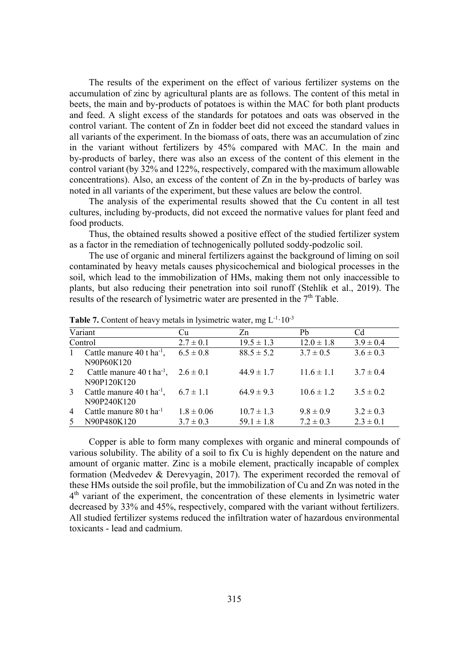The results of the experiment on the effect of various fertilizer systems on the accumulation of zinc by agricultural plants are as follows. The content of this metal in beets, the main and by-products of potatoes is within the MAC for both plant products and feed. A slight excess of the standards for potatoes and oats was observed in the control variant. The content of Zn in fodder beet did not exceed the standard values in all variants of the experiment. In the biomass of oats, there was an accumulation of zinc in the variant without fertilizers by 45% compared with MAC. In the main and by-products of barley, there was also an excess of the content of this element in the control variant (by 32% and 122%, respectively, compared with the maximum allowable concentrations). Also, an excess of the content of Zn in the by-products of barley was noted in all variants of the experiment, but these values are below the control.

The analysis of the experimental results showed that the Cu content in all test cultures, including by-products, did not exceed the normative values for plant feed and food products.

Thus, the obtained results showed a positive effect of the studied fertilizer system as a factor in the remediation of technogenically polluted soddy-podzolic soil.

The use of organic and mineral fertilizers against the background of liming on soil contaminated by heavy metals causes physicochemical and biological processes in the soil, which lead to the immobilization of HMs, making them not only inaccessible to plants, but also reducing their penetration into soil runoff (Stehlík et al., 2019). The results of the research of lysimetric water are presented in the 7<sup>th</sup> Table.

| Variant             |                                                        | Cu                              | Zn                               | Pb                             | Cd                             |
|---------------------|--------------------------------------------------------|---------------------------------|----------------------------------|--------------------------------|--------------------------------|
| Control             |                                                        | $2.7 \pm 0.1$                   | $19.5 \pm 1.3$                   | $12.0 \pm 1.8$                 | $3.9 \pm 0.4$                  |
| $\mathbf{1}$        | Cattle manure $40$ t ha <sup>-1</sup> ,<br>N90P60K120  | $6.5 \pm 0.8$                   | $88.5 \pm 5.2$                   | $3.7 \pm 0.5$                  | $3.6 \pm 0.3$                  |
| 2                   | Cattle manure $40$ t ha <sup>-1</sup> ,<br>N90P120K120 | $2.6 \pm 0.1$                   | $44.9 \pm 1.7$                   | $11.6 \pm 1.1$                 | $3.7 \pm 0.4$                  |
| 3                   | Cattle manure $40$ t ha <sup>-1</sup> ,<br>N90P240K120 | $6.7 \pm 1.1$                   | $64.9 \pm 9.3$                   | $10.6 \pm 1.2$                 | $3.5 \pm 0.2$                  |
| $\overline{4}$<br>5 | Cattle manure 80 t ha <sup>-1</sup><br>N90P480K120     | $1.8 \pm 0.06$<br>$3.7 \pm 0.3$ | $10.7 \pm 1.3$<br>$59.1 \pm 1.8$ | $9.8 \pm 0.9$<br>$7.2 \pm 0.3$ | $3.2 \pm 0.3$<br>$2.3 \pm 0.1$ |
|                     |                                                        |                                 |                                  |                                |                                |

**Table 7.** Content of heavy metals in lysimetric water, mg  $L^{-1} \cdot 10^{-3}$ 

Copper is able to form many complexes with organic and mineral compounds of various solubility. The ability of a soil to fix Cu is highly dependent on the nature and amount of organic matter. Zinc is a mobile element, practically incapable of complex formation (Medvedev & Derevyagin, 2017). The experiment recorded the removal of these HMs outside the soil profile, but the immobilization of Cu and Zn was noted in the 4<sup>th</sup> variant of the experiment, the concentration of these elements in lysimetric water decreased by 33% and 45%, respectively, compared with the variant without fertilizers. All studied fertilizer systems reduced the infiltration water of hazardous environmental toxicants - lead and cadmium.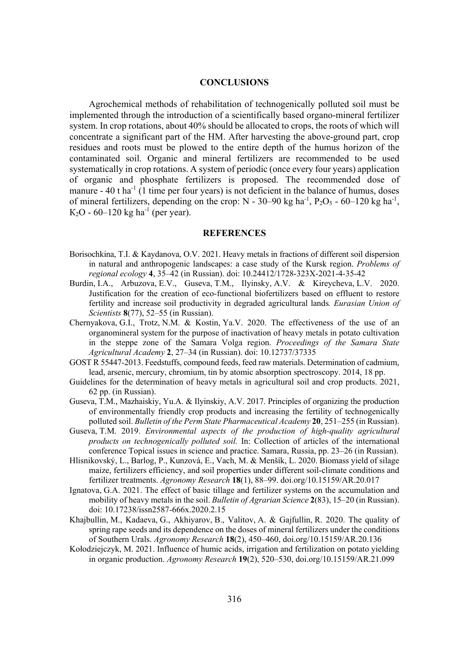## **CONCLUSIONS**

Agrochemical methods of rehabilitation of technogenically polluted soil must be implemented through the introduction of a scientifically based organo-mineral fertilizer system. In crop rotations, about 40% should be allocated to crops, the roots of which will concentrate a significant part of the HM. After harvesting the above-ground part, crop residues and roots must be plowed to the entire depth of the humus horizon of the contaminated soil. Organic and mineral fertilizers are recommended to be used systematically in crop rotations. A system of periodic (once every four years) application of organic and phosphate fertilizers is proposed. The recommended dose of manure  $-40$  t ha<sup>-1</sup> (1 time per four years) is not deficient in the balance of humus, doses of mineral fertilizers, depending on the crop:  $N - 30-90$  kg ha<sup>-1</sup>,  $P_2O_5 - 60-120$  kg ha<sup>-1</sup>,  $K_2O - 60 - 120$  kg ha<sup>-1</sup> (per year).

## **REFERENCES**

- Borisochkina, T.I. & Kaydanova, O.V. 2021. Heavy metals in fractions of different soil dispersion in natural and anthropogenic landscapes: a case study of the Kursk region. *Problems of regional ecology* **4**, 35–42 (in Russian). doi: 10.24412/1728-323X-2021-4-35-42
- Burdin, I.A., Arbuzova, E.V., Guseva, T.M., Ilyinsky, A.V. & Kireycheva, L.V. 2020. Justification for the creation of eco-functional biofertilizers based on effluent to restore fertility and increase soil productivity in degraded agricultural lands. *Eurasian Union of Scientists* **8**(77), 52–55 (in Russian).
- Chernyakova, G.I., Trotz, N.M. & Kostin, Ya.V. 2020. The effectiveness of the use of an organomineral system for the purpose of inactivation of heavy metals in potato cultivation in the steppe zone of the Samara Volga region. *Proceedings of the Samara State Agricultural Academy* 2, 27–34 (in Russian). doi: 10.12737/37335
- GOST R 55447-2013. Feedstuffs, compound feeds, feed raw materials. Determination of cadmium, lead, arsenic, mercury, chromium, tin by atomic absorption spectroscopy. 2014, 18 pp.
- Guidelines for the determination of heavy metals in agricultural soil and crop products. 2021, 62 pp. (in Russian).
- Guseva, T.M., Mazhaiskiy, Yu.A. & Ilyinskiy, A.V. 2017. Principles of organizing the production of environmentally friendly crop products and increasing the fertility of technogenically polluted soil. *Bulletin of the Perm State Pharmaceutical Academy* 20, 251–255 (in Russian).
- Guseva, T.M. 2019. *Environmental aspects of the production of high-quality agricultural products on technogenically polluted soil.* In: Collection of articles of the international conference Topical issues in science and practice. Samara, Russia, pp. 23–26 (in Russian).
- Hlisnikovský, L., Barlog, P., Kunzová, E., Vach, M. & Menšík, L. 2020. Biomass yield of silage maize, fertilizers efficiency, and soil properties under different soil-climate conditions and fertilizer treatments. *Agronomy Research* **18**(1), 88–99. doi.org/10.15159/AR.20.017
- Ignatova, G.Ⱥ. 2021. The effect of basic tillage and fertilizer systems on the accumulation and mobility of heavy metals in the soil. *Bulletin of Agrarian Science* 2(83), 15–20 (in Russian). doi: 10.17238/issn2587-666x.2020.2.15
- Khajbullin, M., Kadaeva, G., Akhiyarov, B., Valitov, A. & Gajfullin, R. 2020. The quality of spring rape seeds and its dependence on the doses of mineral fertilizers under the conditions of Southern Urals. *Agronomy Research* **18**(2), 450–460, doi.org/10.15159/AR.20.136
- Kołodziejczyk, M. 2021. Influence of humic acids, irrigation and fertilization on potato yielding in organic production. *Agronomy Research* **19**(2), 520–530, doi.org/10.15159/AR.21.099